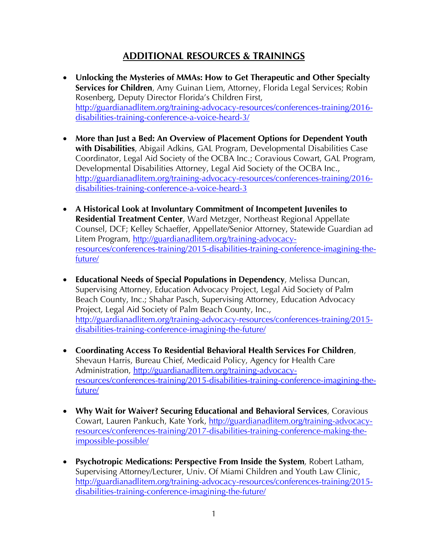## **ADDITIONAL RESOURCES & TRAININGS**

- **Unlocking the Mysteries of MMAs: How to Get Therapeutic and Other Specialty Services for Children**, Amy Guinan Liem, Attorney, Florida Legal Services; Robin Rosenberg, Deputy Director Florida's Children First, [http://guardianadlitem.org/training-advocacy-resources/conferences-training/2016](http://guardianadlitem.org/training-advocacy-resources/conferences-training/2016-disabilities-training-conference-a-voice-heard-3/) [disabilities-training-conference-a-voice-heard-3/](http://guardianadlitem.org/training-advocacy-resources/conferences-training/2016-disabilities-training-conference-a-voice-heard-3/)
- **More than Just a Bed: An Overview of Placement Options for Dependent Youth with Disabilities**, Abigail Adkins, GAL Program, Developmental Disabilities Case Coordinator, Legal Aid Society of the OCBA Inc.; Coravious Cowart, GAL Program, Developmental Disabilities Attorney, Legal Aid Society of the OCBA Inc., [http://guardianadlitem.org/training-advocacy-resources/conferences-training/2016](http://guardianadlitem.org/training-advocacy-resources/conferences-training/2016-disabilities-training-conference-a-voice-heard-3) [disabilities-training-conference-a-voice-heard-3](http://guardianadlitem.org/training-advocacy-resources/conferences-training/2016-disabilities-training-conference-a-voice-heard-3)
- **A Historical Look at Involuntary Commitment of Incompetent Juveniles to Residential Treatment Center**, Ward Metzger, Northeast Regional Appellate Counsel, DCF; Kelley Schaeffer, Appellate/Senior Attorney, Statewide Guardian ad Litem Program, [http://guardianadlitem.org/training-advocacy](http://guardianadlitem.org/training-advocacy-resources/conferences-training/2015-disabilities-training-conference-imagining-the-future/)[resources/conferences-training/2015-disabilities-training-conference-imagining-the](http://guardianadlitem.org/training-advocacy-resources/conferences-training/2015-disabilities-training-conference-imagining-the-future/)[future/](http://guardianadlitem.org/training-advocacy-resources/conferences-training/2015-disabilities-training-conference-imagining-the-future/)
- **Educational Needs of Special Populations in Dependency**, Melissa Duncan, Supervising Attorney, Education Advocacy Project, Legal Aid Society of Palm Beach County, Inc.; Shahar Pasch, Supervising Attorney, Education Advocacy Project, Legal Aid Society of Palm Beach County, Inc., [http://guardianadlitem.org/training-advocacy-resources/conferences-training/2015](http://guardianadlitem.org/training-advocacy-resources/conferences-training/2015-disabilities-training-conference-imagining-the-future/) [disabilities-training-conference-imagining-the-future/](http://guardianadlitem.org/training-advocacy-resources/conferences-training/2015-disabilities-training-conference-imagining-the-future/)
- **Coordinating Access To Residential Behavioral Health Services For Children**, Shevaun Harris, Bureau Chief, Medicaid Policy, Agency for Health Care Administration, [http://guardianadlitem.org/training-advocacy](http://guardianadlitem.org/training-advocacy-resources/conferences-training/2015-disabilities-training-conference-imagining-the-future/)[resources/conferences-training/2015-disabilities-training-conference-imagining-the](http://guardianadlitem.org/training-advocacy-resources/conferences-training/2015-disabilities-training-conference-imagining-the-future/)[future/](http://guardianadlitem.org/training-advocacy-resources/conferences-training/2015-disabilities-training-conference-imagining-the-future/)
- **Why Wait for Waiver? Securing Educational and Behavioral Services**, Coravious Cowart, Lauren Pankuch, Kate York, [http://guardianadlitem.org/training-advocacy](http://guardianadlitem.org/training-advocacy-resources/conferences-training/2017-disabilities-training-conference-making-the-impossible-possible/)[resources/conferences-training/2017-disabilities-training-conference-making-the](http://guardianadlitem.org/training-advocacy-resources/conferences-training/2017-disabilities-training-conference-making-the-impossible-possible/)[impossible-possible/](http://guardianadlitem.org/training-advocacy-resources/conferences-training/2017-disabilities-training-conference-making-the-impossible-possible/)
- **Psychotropic Medications: Perspective From Inside the System**, Robert Latham, Supervising Attorney/Lecturer, Univ. Of Miami Children and Youth Law Clinic, [http://guardianadlitem.org/training-advocacy-resources/conferences-training/2015](http://guardianadlitem.org/training-advocacy-resources/conferences-training/2015-disabilities-training-conference-imagining-the-future/) [disabilities-training-conference-imagining-the-future/](http://guardianadlitem.org/training-advocacy-resources/conferences-training/2015-disabilities-training-conference-imagining-the-future/)